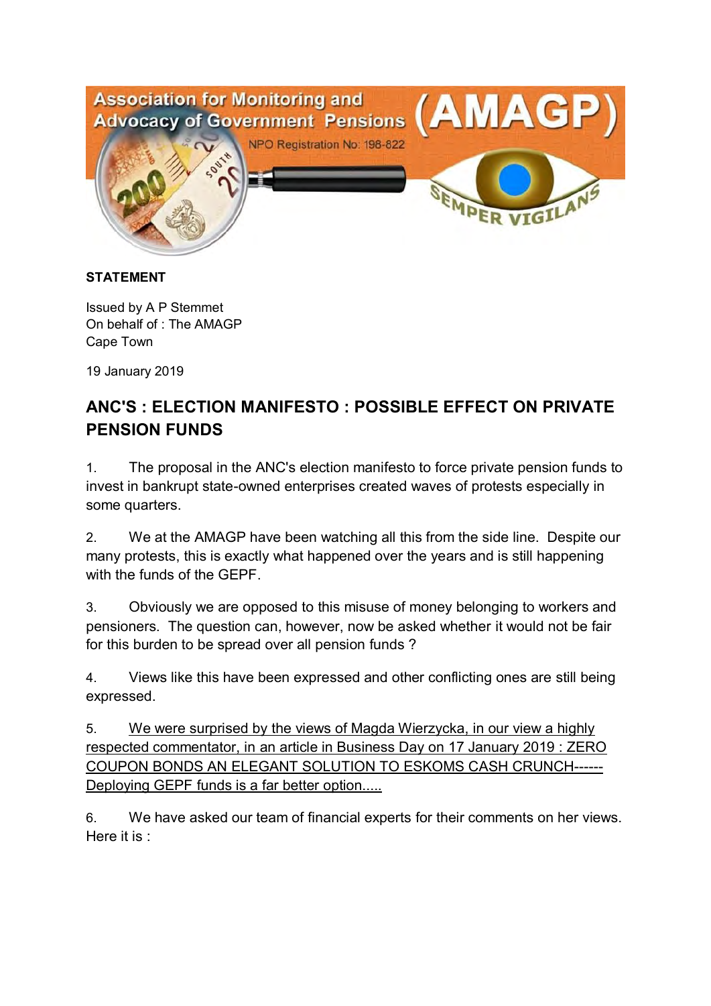

## **STATEMENT**

Issued by A P Stemmet On behalf of : The AMAGP Cape Town

19 January 2019

## **ANC'S : ELECTION MANIFESTO : POSSIBLE EFFECT ON PRIVATE PENSION FUNDS**

1. The proposal in the ANC's election manifesto to force private pension funds to invest in bankrupt state-owned enterprises created waves of protests especially in some quarters.

2. We at the AMAGP have been watching all this from the side line. Despite our many protests, this is exactly what happened over the years and is still happening with the funds of the GEPF.

3. Obviously we are opposed to this misuse of money belonging to workers and pensioners. The question can, however, now be asked whether it would not be fair for this burden to be spread over all pension funds ?

4. Views like this have been expressed and other conflicting ones are still being expressed.

5. We were surprised by the views of Magda Wierzycka, in our view a highly respected commentator, in an article in Business Day on 17 January 2019 : ZERO COUPON BONDS AN ELEGANT SOLUTION TO ESKOMS CASH CRUNCH------ Deploying GEPF funds is a far better option.....

6. We have asked our team of financial experts for their comments on her views. Here it is :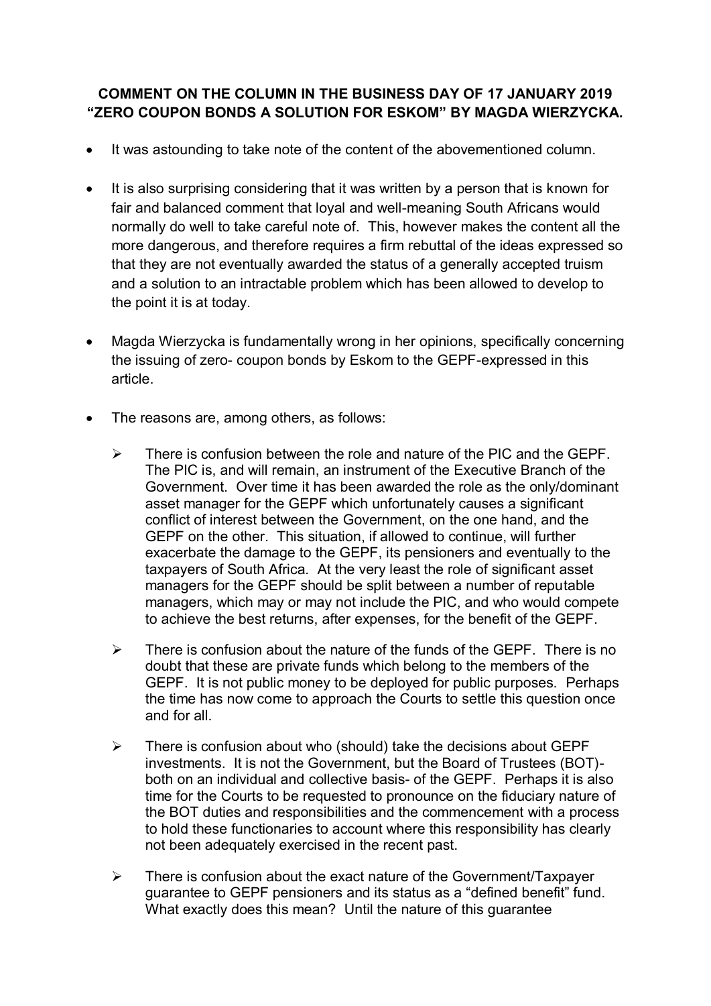## **COMMENT ON THE COLUMN IN THE BUSINESS DAY OF 17 JANUARY 2019 "ZERO COUPON BONDS A SOLUTION FOR ESKOM" BY MAGDA WIERZYCKA.**

- It was astounding to take note of the content of the abovementioned column.
- It is also surprising considering that it was written by a person that is known for fair and balanced comment that loyal and well-meaning South Africans would normally do well to take careful note of. This, however makes the content all the more dangerous, and therefore requires a firm rebuttal of the ideas expressed so that they are not eventually awarded the status of a generally accepted truism and a solution to an intractable problem which has been allowed to develop to the point it is at today.
- Magda Wierzycka is fundamentally wrong in her opinions, specifically concerning the issuing of zero- coupon bonds by Eskom to the GEPF-expressed in this article.
- The reasons are, among others, as follows:
	- $\triangleright$  There is confusion between the role and nature of the PIC and the GEPF. The PIC is, and will remain, an instrument of the Executive Branch of the Government. Over time it has been awarded the role as the only/dominant asset manager for the GEPF which unfortunately causes a significant conflict of interest between the Government, on the one hand, and the GEPF on the other. This situation, if allowed to continue, will further exacerbate the damage to the GEPF, its pensioners and eventually to the taxpayers of South Africa. At the very least the role of significant asset managers for the GEPF should be split between a number of reputable managers, which may or may not include the PIC, and who would compete to achieve the best returns, after expenses, for the benefit of the GEPF.
	- $\triangleright$  There is confusion about the nature of the funds of the GEPF. There is no doubt that these are private funds which belong to the members of the GEPF. It is not public money to be deployed for public purposes. Perhaps the time has now come to approach the Courts to settle this question once and for all.
	- $\triangleright$  There is confusion about who (should) take the decisions about GEPF investments. It is not the Government, but the Board of Trustees (BOT) both on an individual and collective basis- of the GEPF. Perhaps it is also time for the Courts to be requested to pronounce on the fiduciary nature of the BOT duties and responsibilities and the commencement with a process to hold these functionaries to account where this responsibility has clearly not been adequately exercised in the recent past.
	- $\triangleright$  There is confusion about the exact nature of the Government/Taxpayer guarantee to GEPF pensioners and its status as a "defined benefit" fund. What exactly does this mean? Until the nature of this guarantee